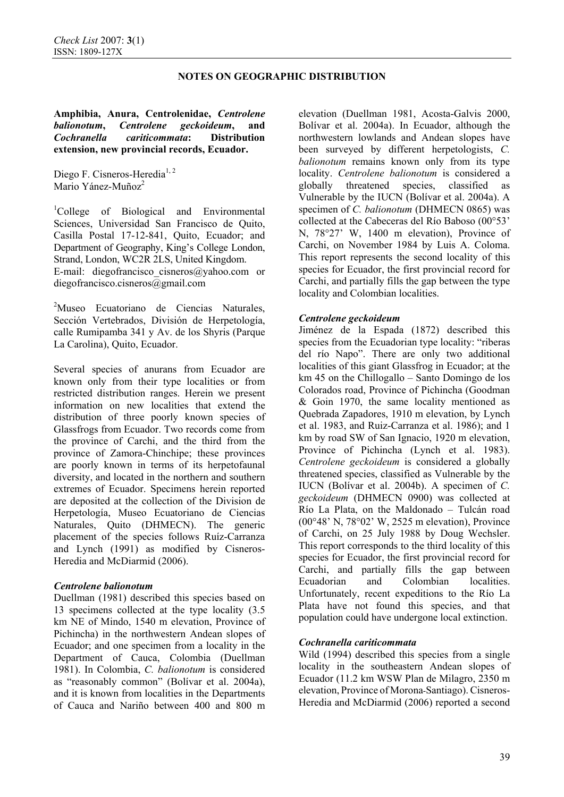**Amphibia, Anura, Centrolenidae,** *Centrolene balionotum***,** *Centrolene geckoideum***, and**  *Cochranella cariticommata***: Distribution extension, new provincial records, Ecuador.** 

Diego F. Cisneros-Heredia<sup>1, 2</sup> Mario Yánez-Muñoz<sup>2</sup>

<sup>1</sup>College of Biological and Environmental Sciences, Universidad San Francisco de Quito, Casilla Postal 17-12-841, Quito, Ecuador; and Department of Geography, King's College London, Strand, London, WC2R 2LS, United Kingdom. E-mail: diegofrancisco cisneros $\omega$ yahoo.com or diegofrancisco.cisneros@gmail.com

<sup>2</sup>Museo Ecuatoriano de Ciencias Naturales, Sección Vertebrados, División de Herpetología, calle Rumipamba 341 y Av. de los Shyris (Parque La Carolina), Quito, Ecuador.

Several species of anurans from Ecuador are known only from their type localities or from restricted distribution ranges. Herein we present information on new localities that extend the distribution of three poorly known species of Glassfrogs from Ecuador. Two records come from the province of Carchi, and the third from the province of Zamora-Chinchipe; these provinces are poorly known in terms of its herpetofaunal diversity, and located in the northern and southern extremes of Ecuador. Specimens herein reported are deposited at the collection of the Division de Herpetología, Museo Ecuatoriano de Ciencias Naturales, Quito (DHMECN). The generic placement of the species follows Ruíz-Carranza and Lynch (1991) as modified by Cisneros-Heredia and McDiarmid (2006).

### *Centrolene balionotum*

Duellman (1981) described this species based on 13 specimens collected at the type locality (3.5 km NE of Mindo, 1540 m elevation, Province of Pichincha) in the northwestern Andean slopes of Ecuador; and one specimen from a locality in the Department of Cauca, Colombia (Duellman 1981). In Colombia, *C. balionotum* is considered as "reasonably common" (Bolívar et al. 2004a), and it is known from localities in the Departments of Cauca and Nariño between 400 and 800 m elevation (Duellman 1981, Acosta-Galvis 2000, Bolívar et al. 2004a). In Ecuador, although the northwestern lowlands and Andean slopes have been surveyed by different herpetologists, *C. balionotum* remains known only from its type locality. *Centrolene balionotum* is considered a globally threatened species, classified as Vulnerable by the IUCN (Bolívar et al. 2004a). A specimen of *C. balionotum* (DHMECN 0865) was collected at the Cabeceras del Río Baboso (00°53' N, 78°27' W, 1400 m elevation), Province of Carchi, on November 1984 by Luis A. Coloma. This report represents the second locality of this species for Ecuador, the first provincial record for Carchi, and partially fills the gap between the type locality and Colombian localities.

### *Centrolene geckoideum*

Jiménez de la Espada (1872) described this species from the Ecuadorian type locality: "riberas del río Napo". There are only two additional localities of this giant Glassfrog in Ecuador; at the km 45 on the Chillogallo – Santo Domingo de los Colorados road, Province of Pichincha (Goodman & Goin 1970, the same locality mentioned as Quebrada Zapadores, 1910 m elevation, by Lynch et al. 1983, and Ruiz-Carranza et al. 1986); and 1 km by road SW of San Ignacio, 1920 m elevation, Province of Pichincha (Lynch et al. 1983). *Centrolene geckoideum* is considered a globally threatened species, classified as Vulnerable by the IUCN (Bolívar et al. 2004b). A specimen of *C. geckoideum* (DHMECN 0900) was collected at Río La Plata, on the Maldonado – Tulcán road (00°48' N, 78°02' W, 2525 m elevation), Province of Carchi, on 25 July 1988 by Doug Wechsler. This report corresponds to the third locality of this species for Ecuador, the first provincial record for Carchi, and partially fills the gap between Ecuadorian and Colombian localities. Unfortunately, recent expeditions to the Río La Plata have not found this species, and that population could have undergone local extinction.

## *Cochranella cariticommata*

Wild (1994) described this species from a single locality in the southeastern Andean slopes of Ecuador (11.2 km WSW Plan de Milagro, 2350 m elevation, Province of Morona-Santiago).Cisneros-Heredia and McDiarmid (2006) reported a second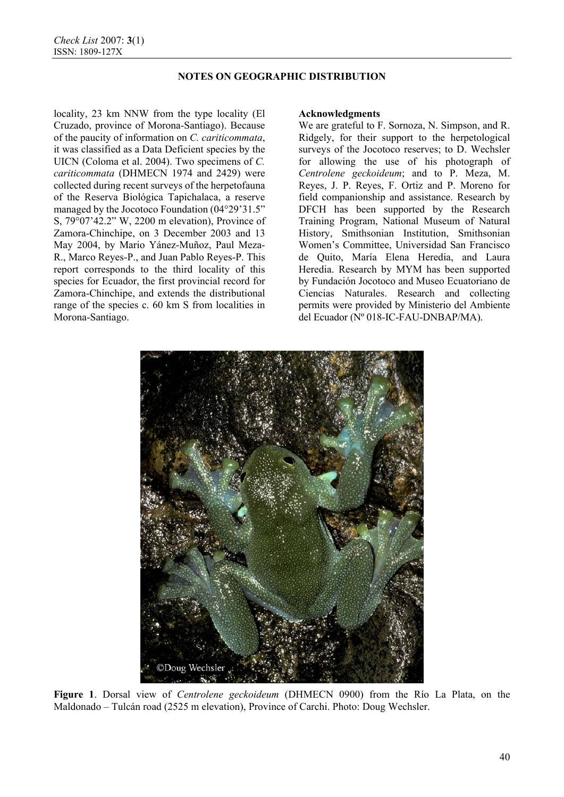locality, 23 km NNW from the type locality (El Cruzado, province of Morona-Santiago). Because of the paucity of information on *C. cariticommata*, it was classified as a Data Deficient species by the UICN (Coloma et al. 2004). Two specimens of *C. cariticommata* (DHMECN 1974 and 2429) were collected during recent surveys of the herpetofauna of the Reserva Biológica Tapichalaca, a reserve managed by the Jocotoco Foundation (04°29'31.5" S, 79°07'42.2" W, 2200 m elevation), Province of Zamora-Chinchipe, on 3 December 2003 and 13 May 2004, by Mario Yánez-Muñoz, Paul Meza-R., Marco Reyes-P., and Juan Pablo Reyes-P. This report corresponds to the third locality of this species for Ecuador, the first provincial record for Zamora-Chinchipe, and extends the distributional range of the species c. 60 km S from localities in Morona-Santiago.

#### **Acknowledgments**

We are grateful to F. Sornoza, N. Simpson, and R. Ridgely, for their support to the herpetological surveys of the Jocotoco reserves; to D. Wechsler for allowing the use of his photograph of *Centrolene geckoideum*; and to P. Meza, M. Reyes, J. P. Reyes, F. Ortiz and P. Moreno for field companionship and assistance. Research by DFCH has been supported by the Research Training Program, National Museum of Natural History, Smithsonian Institution, Smithsonian Women's Committee, Universidad San Francisco de Quito, María Elena Heredia, and Laura Heredia. Research by MYM has been supported by Fundación Jocotoco and Museo Ecuatoriano de Ciencias Naturales. Research and collecting permits were provided by Ministerio del Ambiente del Ecuador (Nº 018-IC-FAU-DNBAP/MA).



**Figure 1**. Dorsal view of *Centrolene geckoideum* (DHMECN 0900) from the Río La Plata, on the Maldonado – Tulcán road (2525 m elevation), Province of Carchi. Photo: Doug Wechsler.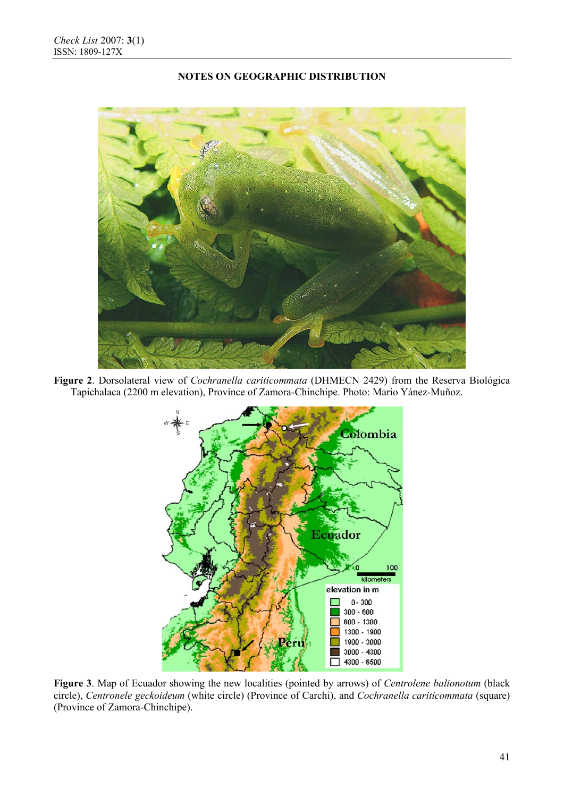

**Figure 2**. Dorsolateral view of *Cochranella cariticommata* (DHMECN 2429) from the Reserva Biológica Tapichalaca (2200 m elevation), Province of Zamora-Chinchipe. Photo: Mario Yánez-Muñoz.



**Figure 3**. Map of Ecuador showing the new localities (pointed by arrows) of *Centrolene balionotum* (black circle), *Centronele geckoideum* (white circle) (Province of Carchi), and *Cochranella cariticommata* (square) (Province of Zamora-Chinchipe).